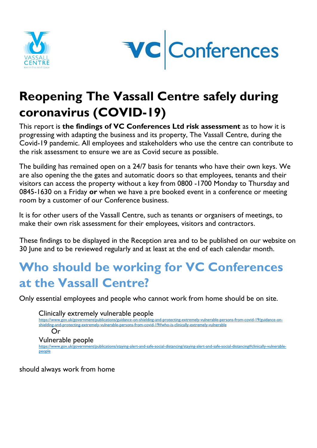



## **Reopening The Vassall Centre safely during coronavirus (COVID-19)**

This report is **the findings of VC Conferences Ltd risk assessment** as to how it is progressing with adapting the business and its property, The Vassall Centre, during the Covid-19 pandemic. All employees and stakeholders who use the centre can contribute to the risk assessment to ensure we are as Covid secure as possible.

The building has remained open on a 24/7 basis for tenants who have their own keys. We are also opening the the gates and automatic doors so that employees, tenants and their visitors can access the property without a key from 0800 -1700 Monday to Thursday and 0845-1630 on a Friday **or** when we have a pre booked event in a conference or meeting room by a customer of our Conference business.

It is for other users of the Vassall Centre, such as tenants or organisers of meetings, to make their own risk assessment for their employees, visitors and contractors.

These findings to be displayed in the Reception area and to be published on our website on 30 June and to be reviewed regularly and at least at the end of each calendar month.

### **Who should be working for VC Conferences at the Vassall Centre?**

Only essential employees and people who cannot work from home should be on site.

Clinically extremely vulnerable people [https://www.gov.uk/government/publications/guidance-on-shielding-and-protecting-extremely-vulnerable-persons-from-covid-19/guidance-on](https://www.gov.uk/government/publications/guidance-on-shielding-and-protecting-extremely-vulnerable-persons-from-covid-19/guidance-on-shielding-and-protecting-extremely-vulnerable-persons-from-covid-19#who-is-clinically-extremely-vulnerable)[shielding-and-protecting-extremely-vulnerable-persons-from-covid-19#who-is-clinically-extremely-vulnerable](https://www.gov.uk/government/publications/guidance-on-shielding-and-protecting-extremely-vulnerable-persons-from-covid-19/guidance-on-shielding-and-protecting-extremely-vulnerable-persons-from-covid-19#who-is-clinically-extremely-vulnerable) Or Vulnerable people [https://www.gov.uk/government/publications/staying-alert-and-safe-social-distancing/staying-alert-and-safe-social-distancing#clinically-vulnerable](https://www.gov.uk/government/publications/staying-alert-and-safe-social-distancing/staying-alert-and-safe-social-distancing#clinically-vulnerable-people)[people](https://www.gov.uk/government/publications/staying-alert-and-safe-social-distancing/staying-alert-and-safe-social-distancing#clinically-vulnerable-people)

should always work from home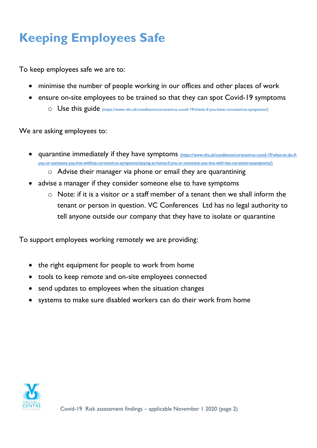# **Keeping Employees Safe**

To keep employees safe we are to:

- minimise the number of people working in our offices and other places of work
- ensure [on-site employees to be trained so that they can](https://www.nhs.uk/conditions/coronavirus-covid-19/check-if-you-have-coronavirus-symptoms/) spot Covid-19 [symptoms](https://www.nhs.uk/conditions/coronavirus-covid-19/check-if-you-have-coronavirus-symptoms/)
	- o Use this guide [\(https://www.nhs.uk/conditions/coronavirus-covid-19/check-if-you-have-coronavirus-symptoms/\)](https://www.nhs.uk/conditions/coronavirus-covid-19/check-if-you-have-coronavirus-symptoms/)

We are asking employees to:

- quarantine immediately if they have symptoms [\(https://www.nhs.uk/conditions/coronavirus-covid-19/what-to-do-if](https://vcconferencesltd.sharepoint.com/sites/DATAPOOL/Shared%20Documents/VassallCentreSharedDocuments/Building%20Information/Covid-19/Instructions%20for%20Staff%20and%20Contractors/(https:/www.nhs.uk/conditions/coronavirus-covid-19/what-to-do-if-you-or-someone-you-live-withhas-coronavirus-symptoms/staying-at-home-if-you-or-someone-you-live-with-has-coronavirussymptoms/))[you-or-someone-you-live-withhas-coronavirus-symptoms/staying-at-home-if-you-or-someone-you-live-with-has-coronavirussymptoms/\)](https://vcconferencesltd.sharepoint.com/sites/DATAPOOL/Shared%20Documents/VassallCentreSharedDocuments/Building%20Information/Covid-19/Instructions%20for%20Staff%20and%20Contractors/(https:/www.nhs.uk/conditions/coronavirus-covid-19/what-to-do-if-you-or-someone-you-live-withhas-coronavirus-symptoms/staying-at-home-if-you-or-someone-you-live-with-has-coronavirussymptoms/)) 
	- o Advise their manager via phone or email they are quarantining
- advise a manager if they consider someone else to have symptoms
	- o Note: if it is a visitor or a staff member of a tenant then we shall inform the tenant or person in question. VC Conferences Ltd has no legal authority to tell anyone outside our company that they have to isolate or quarantine

To support employees working remotely we are providing:

- the right equipment for people to work from home
- tools to keep remote and on-site employees connected
- send updates to employees when the situation changes
- systems to make sure disabled workers can do their work from home

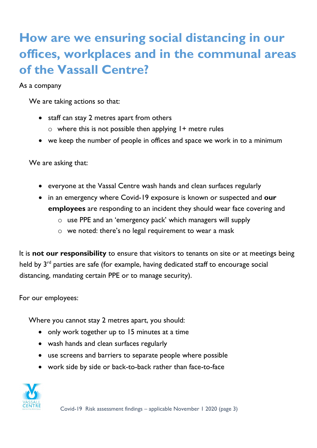### **How are we ensuring social distancing in our offices, workplaces and in the communal areas of the Vassall Centre?**

As a company

We are taking actions so that:

- staff can stay 2 metres apart from others
	- $\circ$  where this is not possible then applying  $1+$  metre rules
- we keep the number of people in offices and space we work in to a minimum

We are asking that:

- everyone at the Vassal Centre wash hands and clean surfaces regularly
- in an emergency where Covid-19 exposure is known or suspected and **our employees** are responding to an incident they should wear face covering and
	- o use PPE and an 'emergency pack' which managers will supply
	- o we noted: there's no legal requirement to wear a mask

It is **not our responsibility** to ensure that visitors to tenants on site or at meetings being held by 3<sup>rd</sup> parties are safe (for example, having dedicated staff to encourage social distancing, mandating certain PPE or to manage security).

For our employees:

Where you cannot stay 2 metres apart, you should:

- only work together up to 15 minutes at a time
- wash hands and clean surfaces regularly
- use screens and barriers to separate people where possible
- work side by side or back-to-back rather than face-to-face

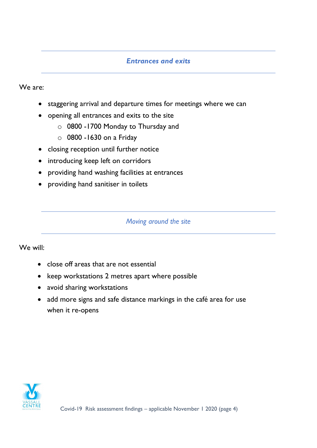#### *Entrances and exits*

We are:

- staggering arrival and departure times for meetings where we can
- opening all entrances and exits to the site
	- o 0800 -1700 Monday to Thursday and
	- $\circ$  0800 -1630 on a Friday
- closing reception until further notice
- introducing keep left on corridors
- providing hand washing facilities at entrances
- providing hand sanitiser in toilets

#### *Moving around the site*

We will:

- close off areas that are not essential
- keep workstations 2 metres apart where possible
- avoid sharing workstations
- add more signs and safe distance markings in the café area for use when it re-opens

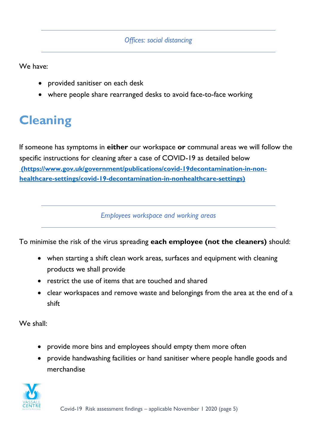#### *Offices: social distancing*

We have:

- provided sanitiser on each desk
- where people share rearranged desks to avoid face-to-face working

### **Cleaning**

[If someone has symptoms in](https://www.gov.uk/government/publications/covid-19-decontamination-in-non-healthcare-settings/covid-19-decontamination-in-non-healthcare-settings) **either** our workspace **or** communal areas we will follow the specific instructions for cleaning after a case of COVID-19 as detailed below **[\(https://www.gov.uk/government/publications/covid-19decontamination-in-non](https://vcconferencesltd.sharepoint.com/sites/DATAPOOL/Shared%20Documents/VassallCentreSharedDocuments/Building%20Information/Covid-19/Instructions%20for%20Staff%20and%20Contractors/(https:/www.gov.uk/government/publications/covid-19decontamination-in-non-healthcare-settings/covid-19-decontamination-in-nonhealthcare-settings))[healthcare-settings/covid-19-decontamination-in-nonhealthcare-settings\)](https://vcconferencesltd.sharepoint.com/sites/DATAPOOL/Shared%20Documents/VassallCentreSharedDocuments/Building%20Information/Covid-19/Instructions%20for%20Staff%20and%20Contractors/(https:/www.gov.uk/government/publications/covid-19decontamination-in-non-healthcare-settings/covid-19-decontamination-in-nonhealthcare-settings))**

*Employees workspace and working areas*

To minimise the risk of the virus spreading **each employee (not the cleaners)** should:

- when starting a shift clean work areas, surfaces and equipment with cleaning products we shall provide
- restrict the use of items that are touched and shared
- clear workspaces and remove waste and belongings from the area at the end of a shift

We shall:

- provide more bins and employees should empty them more often
- provide handwashing facilities or hand sanitiser where people handle goods and merchandise

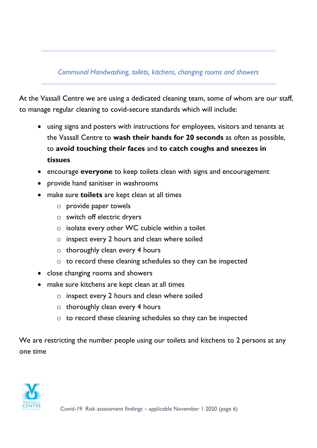#### *Communal Handwashing, toilets, kitchens, changing rooms and showers*

At the Vassall Centre we are using a dedicated cleaning team, some of whom are our staff, to manage regular cleaning to covid-secure standards which will include:

- using signs and posters with instructions for employees, visitors and tenants at the Vassall Centre to **wash their hands for 20 seconds** as often as possible, to **avoid touching their faces** and **to catch coughs and sneezes in tissues**
- encourage **everyone** to keep toilets clean with signs and encouragement
- provide hand sanitiser in washrooms
- make sure **toilets** are kept clean at all times
	- o provide paper towels
	- o switch off electric dryers
	- o isolate every other WC cubicle within a toilet
	- o inspect every 2 hours and clean where soiled
	- $\circ$  thoroughly clean every 4 hours
	- o to record these cleaning schedules so they can be inspected
- close changing rooms and showers
- make sure kitchens are kept clean at all times
	- o inspect every 2 hours and clean where soiled
	- $\circ$  thoroughly clean every 4 hours
	- o to record these cleaning schedules so they can be inspected

We are restricting the number people using our toilets and kitchens to 2 persons at any one time